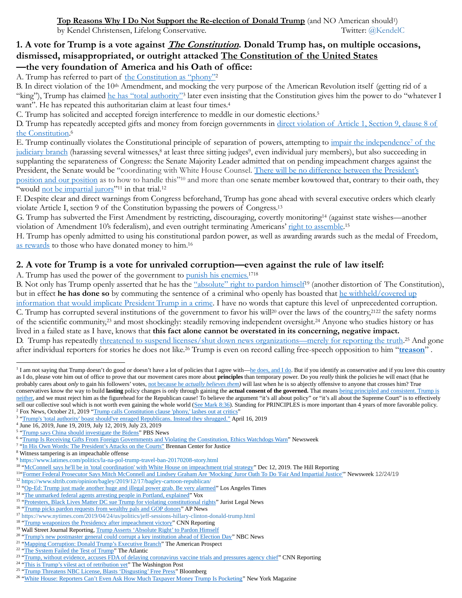# **1. A vote for Trump is a vote against The Constitution. Donald Trump has, on multiple occasions, dismissed, misappropriated, or outright attacked The Constitution of the United States —the very foundation of America and his Oath of office:**

A. Trump has referred to part of [the Constitution as "phony"](https://www.fox10phoenix.com/news/trump-calls-emoluments-clause-phony-lashes-out-at-critics-after-g-7-move-from-doral)<sup>2</sup>

B. In direct violation of the 10<sup>th</sup> Amendment, and mocking the very purpose of the American Revolution itself (getting rid of a "king"), Trump has claimed he [has "total authority"](https://www.nbcnews.com/think/opinion/trump-s-total-authority-boast-should-ve-enraged-republicans-instead-ncna1184806)<sup>3</sup> later even insisting that the Constitution gives him the power to do "whatever I want". He has repeated this authoritarian claim at least four times.<sup>4</sup>

C. Trump has solicited and accepted foreign interference to meddle in our domestic elections.<sup>5</sup>

D. Trump has repeatedly accepted gifts and money from foreign governments in direct violation of Article 1, Section 9, clause 8 of [the Constitution.](https://www.newsweek.com/trump-still-doing-business-foreign-governments-769177) 6

E. Trump continually violates the Constitutional principle of separation of powers, attempting to [impair the independence](https://www.brennancenter.org/our-work/research-reports/his-own-words-presidents-attacks-courts)<sup>7</sup> of the [judiciary branch](https://www.brennancenter.org/our-work/research-reports/his-own-words-presidents-attacks-courts) (harassing several witnesses,<sup>8</sup> at least three sitting judges<sup>9</sup>, even individual jury members), but also succeeding in supplanting the separateness of Congress: the Senate Majority Leader admitted that on pending impeachment charges against the President, the Senate would be "coordinating with White House Counsel. [There will be no difference between the Presid](https://thehill.com/homenews/senate/474399-mcconnell-says-hell-be-in-total-coordination-with-white-house-on-impeachment)ent's [position and our position](https://thehill.com/homenews/senate/474399-mcconnell-says-hell-be-in-total-coordination-with-white-house-on-impeachment) as to how to handle this"<sup>10</sup> and more than one senate member kowtowed that, contrary to their oath, they "would [not be impartial jurors](https://www.newsweek.com/former-prosecutor-glenn-kirschner-accuses-mcconnell-graham-mocking-oath-1479009)"<sup>11</sup> in that trial.<sup>12</sup>

F. Despite clear and direct warnings from Congress beforehand, Trump has gone ahead with several executive orders which clearly violate Article I, section 9 of the Constitution bypassing the powers of Congress.<sup>13</sup>

G. Trump has subverted the First Amendment by restricting, discouraging, covertly monitoring<sup>14</sup> (against state wishes—another violation of Amendment 10's federalism), and even outright terminating Americans' [right to assemble.](https://www.jurist.org/news/2020/06/protesters-black-lives-matter-dc-sue-trump-for-violating-constitutional-rights/)<sup>15</sup>

H. Trump has openly admitted to using his constitutional pardon power, as well as awarding awards such as the medal of Freedom, [as rewards](https://apnews.com/5f5462f4b8a41a63e0235e7dff33295a) to those who have donated money to him.<sup>16</sup>

## **2. A vote for Trump is a vote for unrivaled corruption—even against the rule of law itself:**

A. Trump has used the power of the government to [punish his enemies.](https://www.cnn.com/2020/02/10/politics/donald-trump-presidency-joe-biden-impeachment/index.html)<sup>1718</sup>

B. Not only has Trump openly asserted that he has the "absolute" right [to pardon](https://www.wsj.com/articles/donald-trump-asserts-absolute-right-to-pardon-himself-1528116580) himself<sup>19</sup> (another distortion of The Constitution), but in effect **he has done so** by commuting the sentence of a criminal who openly has boasted tha[t he withheld/covered up](https://www.nytimes.com/2020/07/11/us/politics/trump-roger-stone.html) [information that would implicate President Trump in a crime.](https://www.nytimes.com/2020/07/11/us/politics/trump-roger-stone.html) I have no words that capture this level of unprecedented corruption. C. Trump has corrupted several institutions of the government to favor his will<sup>20</sup> over the laws of the country,<sup>2122</sup> the safety norms of the scientific community,<sup>23</sup> and most shockingly: steadily removing independent oversight.<sup>24</sup> Anyone who studies history or has lived in a failed state as I have, knows that **this fact alone cannot be overstated in its concerning, negative impact.** D. Trump has repeatedly *threatened to suspend licenses/shut down news organizations—merely for reporting the truth.<sup>25</sup> And gone* after individual reporters for stories he does not like.<sup>26</sup> Trump is even on record calling free-speech opposition to him "**[treason](https://www.theatlantic.com/ideas/archive/2019/09/trump-false-treason/599074/)**" .

<sup>2</sup> Fox News, October 21, 2019 ["Trump calls Constitution clause](https://www.fox10phoenix.com/news/trump-calls-emoluments-clause-phony-lashes-out-at-critics-after-g-7-move-from-doral) 'phony,' lashes out at critics"

<sup>&</sup>lt;sup>1</sup> I am not saying that Trump doesn't do good or doesn't have a lot of policies that I agree with[—he does, and I do.](http://www.kendelc.com/blog/in-praise-of-donald-trump) But if you identify as conservative and if you love this country as I do, please vote him out of office to prove that our movement cares more about **principles** than temporary power. Do you *really* think the policies he will enact (that he probably cares about *only* to gain his followers' votes, not because he *[actually believes them\)](https://frenchpress.thedispatch.com/p/do-pro-lifers-who-reject-trump-have)* will last when he is so abjectly offensive to anyone that crosses him? True conservatives know the way to build **lasting** policy changes is only through gaining the **actual consent of the governed.** That means being [principled and consistent. Trump is](https://www.facebook.com/watch/live/?v=1165364797169063&ref=watch_permalink)  [neither,](https://www.facebook.com/watch/live/?v=1165364797169063&ref=watch_permalink) and we must reject him as the figurehead for the Republican cause! To believe the argument "it's all about policy" or "it's all about the Supreme Court" is to effectively sell our collective soul which is not worth even gaining the whole world [\(See Mark 8:36\)](https://biblehub.com/mark/8-36.htm). Standing for PRINCIPLES is more important than 4 years of more favorable policy.

<sup>&</sup>lt;sup>3</sup> "Trump's 'total authority' [boast should've enraged Republicans. Instead they shrugged."](https://www.nbcnews.com/think/opinion/trump-s-total-authority-boast-should-ve-enraged-republicans-instead-ncna1184806) April 16, 2019

<sup>4</sup> June 16, 2019, June 19, 2019, July 12, 2019, July 23, 2019

<sup>&</sup>lt;sup>5</sup> ["Trump says China should investigate the Bidens"](https://www.pbs.org/newshour/politics/watch-trump-says-china-should-investigate-the-bidens) PBS News

<sup>&</sup>lt;sup>6</sup> ["Trump Is Receiving Gifts From Foreign Governments and Violating the Constitution, Ethics Watchdogs Warn"](https://www.newsweek.com/trump-still-doing-business-foreign-governments-769177) Newsweek

<sup>&</sup>lt;sup>7</sup> ["In His Own Words: The President's Attacks on the Courts"](https://www.brennancenter.org/our-work/research-reports/his-own-words-presidents-attacks-courts) Brennan Center for Justice

<sup>8</sup> Witness tampering is an impeachable offense

<sup>9</sup> <https://www.latimes.com/politics/la-na-pol-trump-travel-ban-20170208-story.html>

<sup>&</sup>lt;sup>10</sup> ["McConnell says he'll be in 'total coordination' with White House on impeachment trial strategy"](https://thehill.com/homenews/senate/474399-mcconnell-says-hell-be-in-total-coordination-with-white-house-on-impeachment) Dec 12, 2019. The Hill Reporting

<sup>&</sup>lt;sup>11</sup> Former Federal Prosecutor Says Mitch McConnell and Lindsey Graham Are 'Mocking' Juror Oath To Do 'Fair And Impartial Justice'" Newsweek 12/24/19

<sup>12</sup> <https://www.sltrib.com/opinion/bagley/2019/12/17/bagley-cartoon-republican/>

<sup>&</sup>lt;sup>13</sup> ["Op-Ed: Trump just made another huge and illegal power grab. Be very alarmed"](https://www.latimes.com/opinion/story/2020-08-10/president-trump-executive-order-unconstitutional) Los Angeles Times

<sup>&</sup>lt;sup>14</sup> ["The unmarked federal agents arresting people in Portland, explained"](https://www.vox.com/2020/7/20/21328387/portland-protests-unmarked-arrest-trump-wold) Vox

<sup>&</sup>lt;sup>15</sup> ["Protesters, Black Lives Matter DC sue Trump for violating constitutional rights"](https://www.jurist.org/news/2020/06/protesters-black-lives-matter-dc-sue-trump-for-violating-constitutional-rights/) Jurist Legal News

<sup>&</sup>lt;sup>16</sup> ["Trump picks pardon requests from wealthy pals and GOP donors"](https://apnews.com/5f5462f4b8a41a63e0235e7dff33295a) AP News

<sup>17</sup> <https://www.nytimes.com/2019/04/24/us/politics/jeff-sessions-hillary-clinton-donald-trump.html>

<sup>&</sup>lt;sup>18</sup> ["Trump weaponizes the Presidency after impeachment victory"](https://www.cnn.com/2020/02/10/politics/donald-trump-presidency-joe-biden-impeachment/index.html) CNN Reporting

<sup>&</sup>lt;sup>19</sup> Wall Street Journal Reporting[, Trump Asserts 'Absolute Right' to Pardon Himself](https://www.wsj.com/articles/donald-trump-asserts-absolute-right-to-pardon-himself-1528116580)

<sup>&</sup>lt;sup>20</sup> ["Trump's new postmaster general could corrupt a key institution ahead of Election Day"](https://www.nbcnews.com/think/opinion/trump-s-2020-usps-appointment-could-corrupt-key-institution-ahead-ncna1234125) NBC News

<sup>&</sup>lt;sup>21</sup> ["Mapping Corruption: Donald Trump's Executive Branch"](https://prospect.org/power/mapping-corruption-donald-trump-executive-branch/) The American Prospect

<sup>&</sup>lt;sup>22</sup> ["The System Failed the Test of Trump"](https://www.theatlantic.com/ideas/archive/2020/05/system-failed-test/611911/) The Atlantic

<sup>&</sup>lt;sup>23</sup> ["Trump, without evidence, accuses FDA of delaying coronavirus vaccine trials and pressures agency chief"](https://www.cnn.com/2020/08/22/politics/trump-fda-coronavirus-vaccine/index.html) CNN Reporting

<sup>&</sup>lt;sup>24</sup> ["This is Trump's vilest act of retribution yet"](https://www.washingtonpost.com/opinions/this-is-trumps-vilest-act-of-retribution-yet/2020/04/06/c685cb0a-781f-11ea-b6ff-597f170df8f8_story.html) The Washington Post

<sup>&</sup>lt;sup>25</sup> ["Trump Threatens NBC License, Blasts 'Disgusting' Free Press"](https://www.bloomberg.com/news/articles/2017-10-11/trump-threatens-nbc-tv-licenses-after-story-on-nuclear-buildup) Bloomberg

<sup>&</sup>lt;sup>26</sup> ["White House: Reporters Can't Even Ask How Much Taxpayer Money Trump Is Pocketing"](https://nymag.com/intelligencer/2020/08/trump-reporter-dossier-washington-post-threat-trump-organization-taxpayer.html) New York Magazine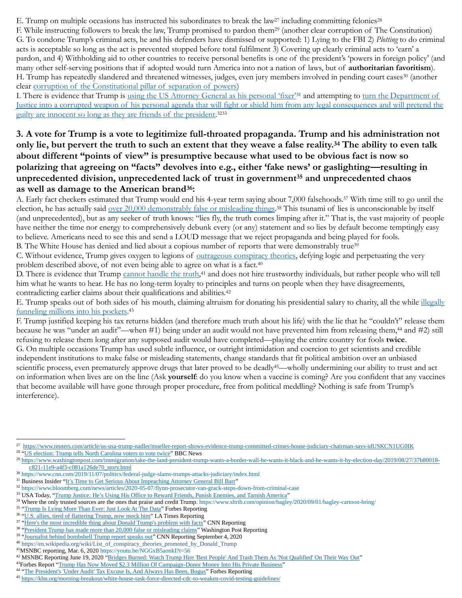E. Trump on multiple occasions has instructed his subordinates to break the law<sup>27</sup> including committing felonies<sup>28</sup>

F. While instructing followers to break the law, Trump promised to pardon them<sup>29</sup> (another clear corruption of The Constitution) G. To condone Trump's criminal acts, he and his defenders have dismissed or supported: 1) Lying to the FBI 2) *Plotting* to do criminal acts is acceptable so long as the act is prevented stopped before total fulfilment 3) Covering up clearly criminal acts to 'earn' a pardon, and 4) Withholding aid to other countries to receive personal benefits is one of the president's 'powers in foreign policy' (and many other self-serving positions that if adopted would turn America into not a nation of laws, but of **authoritarian favoritism**). H. Trump has repeatedly slandered and threatened witnesses, judges, even jury members involved in pending court cases<sup>30</sup> (another clear [corruption of the Constitutional pillar of separation of powers\)](https://www.cnn.com/2019/11/07/politics/federal-judge-slams-trumps-attacks-judiciary/index.html)

I. There is evidence that Trump is [using the US Attorney General as](https://www.businessinsider.com/attorney-general-bill-bar-no-respect-law-democrats-should-impeach-2020-9) his personal 'fixer'<sup>31</sup> and attempting to turn the Department of Justice into a corrupted weapon of [his personal agenda that will fight or shield him from any legal consequences and will](https://www.sandiegouniontribune.com/opinion/letters-to-the-editor/story/2020-05-10/trumps-efforts-to-to-corrupt-the-department-of-justice-reach-new-levels-utak) pretend the [guilty are innocent so long as they are friends of the president.](https://www.sandiegouniontribune.com/opinion/letters-to-the-editor/story/2020-05-10/trumps-efforts-to-to-corrupt-the-department-of-justice-reach-new-levels-utak)<sup>3233</sup>

**3. A vote for Trump is a vote to legitimize full-throated propaganda. Trump and his administration not only lie, but pervert the truth to such an extent that they weave a false reality.<sup>34</sup> The ability to even talk about different "points of view" is presumptive because what used to be obvious fact is now so polarizing that agreeing on "facts" devolves into e.g., either 'fake news' or gaslighting—resulting in unprecedented division, unprecedented lack of trust in government<sup>35</sup> and unprecedented chaos as well as damage to the American brand36:**

A. Early fact checkers estimated that Trump would end his 4-year term saying about 7,000 falsehoods.<sup>37</sup> With time still to go until the election, he has actually said <u>over 20,000 demonstrably false or misleading things</u>.<sup>38</sup> This tsunami of lies is unconscionable by itself (and unprecedented), but as any seeker of truth knows: "lies fly, the truth comes limping after it." That is, the vast majority of people have neither the time nor energy to comprehensively debunk every (or any) statement and so lies by default become temptingly easy to believe. Americans need to see this and send a LOUD message that we reject propaganda and being played for fools. B. The White House has denied and lied about a copious number of reports that were demonstrably true<sup>39</sup>

C. Without evidence, Trump gives oxygen to legions of [outrageous conspiracy theories,](https://en.wikipedia.org/wiki/List_of_conspiracy_theories_promoted_by_Donald_Trump) defying logic and perpetuating the very problem described above, of not even being able to agree on what is a fact.<sup>40</sup>

D. There is evidence that Trump [cannot handle the truth,](https://youtu.be/NGGxB5aonkI?t=56)<sup>41</sup> and does not hire trustworthy individuals, but rather people who will tell him what he wants to hear. He has no long-term loyalty to principles and turns on people when they have disagreements, contradicting earlier claims about their qualifications and abilities.<sup>42</sup>

E. Trump speaks out of both sides of his mouth, claiming altruism for donating his presidential salary to charity, all the while [illegally](https://www.forbes.com/sites/danalexander/2020/08/25/trump-has-now-moved-23-million-of-campaign-donor-money-into-his-private-business/)  [funneling millions into his pockets.](https://www.forbes.com/sites/danalexander/2020/08/25/trump-has-now-moved-23-million-of-campaign-donor-money-into-his-private-business/) 43

F. Trump justified keeping his tax returns hidden (and therefore much truth about his life) with the lie that he "couldn't" release them because he was "under an audit"—when #1) being under an audit would not have prevented him from releasing them,<sup>44</sup> and #2) still refusing to release them long after any supposed audit would have completed—playing the entire country for fools **twice**. G. On multiple occasions Trump has used subtle influence, or outright intimidation and coercion to get scientists and credible independent institutions to make false or misleading statements, change standards that fit political ambition over an unbiased scientific process, even prematurely approve drugs that later proved to be deadly<sup>45</sup>—wholly undermining our ability to trust and act on information when lives are on the line (Ask **yourself**: do you know when a vaccine is coming? Are you confident that any vaccines that become available will have gone through proper procedure, free from political meddling? Nothing is safe from Trump's interference).

<sup>&</sup>lt;sup>27</sup> <https://www.reuters.com/article/us-usa-trump-nadler/mueller-report-shows-evidence-trump-committed-crimes-house-judiciary-chairman-says-idUSKCN1UG0IK>

<sup>&</sup>lt;sup>28</sup> ["US election: Trump tells North Carolina voters to vote twice"](https://www.bbc.com/news/election-us-2020-54011022) BBC News

<sup>29</sup> [https://www.washingtonpost.com/immigration/take-the-land-president-trump-wants-a-border-wall-he-wants-it-black-and-he-wants-it-by-election-day/2019/08/27/37b80018](https://www.washingtonpost.com/immigration/take-the-land-president-trump-wants-a-border-wall-he-wants-it-black-and-he-wants-it-by-election-day/2019/08/27/37b80018-c821-11e9-a4f3-c081a126de70_story.html) [c821-11e9-a4f3-c081a126de70\\_story.html](https://www.washingtonpost.com/immigration/take-the-land-president-trump-wants-a-border-wall-he-wants-it-black-and-he-wants-it-by-election-day/2019/08/27/37b80018-c821-11e9-a4f3-c081a126de70_story.html)

<sup>30</sup> <https://www.cnn.com/2019/11/07/politics/federal-judge-slams-trumps-attacks-judiciary/index.html>

<sup>&</sup>lt;sup>31</sup> Business Insider ["It's Time to Get Serious About Impeaching Attorney General Bill Barr"](https://www.businessinsider.com/attorney-general-bill-bar-no-respect-law-democrats-should-impeach-2020-9)

<sup>32</sup> <https://www.bloomberg.com/news/articles/2020-05-07/flynn-prosecutor-van-grack-steps-down-from-criminal-case>

<sup>&</sup>lt;sup>33</sup> USA Today, ["Trump Justice: He's Using His Office to Reward Friends, Punish Enemies, and Tarnish America"](https://www.usatoday.com/story/opinion/2020/02/23/trump-harnesses-justice-department-fight-enemies-help-friends-column/4841585002/)

<sup>&</sup>lt;sup>34</sup> Where the only trusted sources are the ones that praise and credit Trump[. https://www.sltrib.com/opinion/bagley/2020/09/01/bagley-cartoon-bring/](https://www.sltrib.com/opinion/bagley/2020/09/01/bagley-cartoon-bring/)

<sup>&</sup>lt;sup>35</sup> ["Trump Is Lying More Than Ever: Just Look At The Data"](https://www.forbes.com/sites/davidmarkowitz/2020/05/05/trump-is-lying-more-than-ever-just-look-at-the-data/#3d0c29641e17) Forbes Reporting

<sup>&</sup>lt;sup>36</sup> ["U.S. allies, tired of flattering Trump, now mock him"](https://www.latimes.com/politics/story/2019-12-04/u-s-allies-tired-of-flattering-trump-now-mock-him) LA Times Reporting

<sup>&</sup>lt;sup>37</sup> ["Here's the most incredible thing about Donald Trump's problem with facts"](https://www.cnn.com/2020/07/14/politics/donald-trump-fact-checker-lies-washington-post/index.html) CNN Reporting

<sup>&</sup>lt;sup>38</sup> ["President Trump has made more than 20,000 false or misleading claims"](https://www.washingtonpost.com/politics/2020/07/13/president-trump-has-made-more-than-20000-false-or-misleading-claims/) Washington Post Reporting

<sup>&</sup>lt;sup>39</sup> ["Journalist behind bombshell Trump report speaks out"](https://youtu.be/2lRyVzHdtfo?t=226) CNN Reporting September 4, 2020

<sup>40</sup> [https://en.wikipedia.org/wiki/List\\_of\\_conspiracy\\_theories\\_promoted\\_by\\_Donald\\_Trump](https://en.wikipedia.org/wiki/List_of_conspiracy_theories_promoted_by_Donald_Trump)

<sup>41</sup>MSNBC reporting, Mar. 6, 2020<https://youtu.be/NGGxB5aonkI?t=56>

<sup>&</sup>lt;sup>42</sup> MSNBC Reporting June 19, 2020 ["Bridges Burned: Watch Trump Hire 'Best People' And Trash Them As 'Not Qualified' On Their Way Out"](https://youtu.be/WfNCSxZ-8uU?t=61)

<sup>43</sup>Forbes Report ["Trump Has Now Moved \\$2.3 Million Of Campaign-Donor Money Into His Private Business"](https://www.forbes.com/sites/danalexander/2020/08/25/trump-has-now-moved-23-million-of-campaign-donor-money-into-his-private-business/)

<sup>&</sup>lt;sup>44</sup> "The President's ['Under Audit' Tax Excuse Is, And Always Has Been, Bogus"](https://www.forbes.com/sites/victorlipman/2019/04/10/the-presidents-under-audit-tax-excuse-is-and-always-has-been-bogus/#3ef08a461818) Forbes Reporting

<sup>45</sup> <https://khn.org/morning-breakout/white-house-task-force-directed-cdc-to-weaken-covid-testing-guidelines/>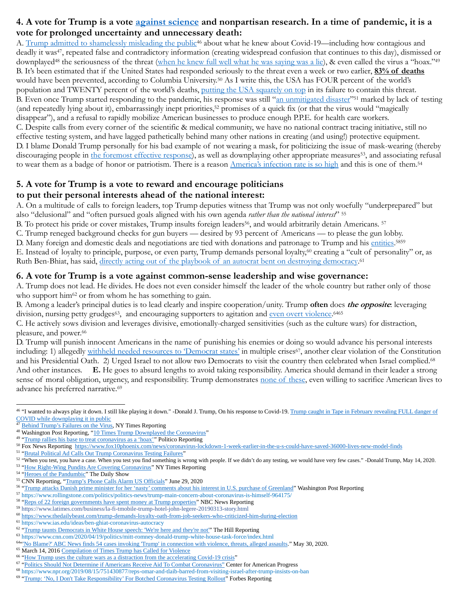# **4. A vote for Trump is a vote [against science](https://youtu.be/1AwCceN1mzQ?t=40) and nonpartisan research. In a time of pandemic, it is a vote for prolonged uncertainty and unnecessary death:**

A. [Trump admitted to shamelessly misleading the public](https://youtu.be/jHunl5LJShc)<sup>46</sup> about what he knew about Covid-19—including how contagious and deadly it was<sup>47</sup>, repeated false and contradictory information (creating widespread confusion that continues to this day), dismissed or downplayed<sup>48</sup> the seriousness of the threat [\(when he knew full well what he was saying was a lie\)](https://abcnews.go.com/Politics/president-trump-coronavirus-versus-bob-woodward-recorded-interviews/story?id=72912827), & even called the virus a "hoax."<sup>49</sup> B. It's been estimated that if the United States had responded seriously to the threat even a week or two earlier, **83% of deaths** would have been prevented, according to Columbia University.<sup>50</sup> As I write this, the USA has FOUR percent of the world's population and TWENTY percent of the world's deaths, [putting the USA squarely on top](https://www.statista.com/statistics/1093256/novel-coronavirus-2019ncov-deaths-worldwide-by-country/) in its failure to contain this threat. B. Even once Trump started responding to the pandemic, his response was still "[an unmitigated disaster](https://youtu.be/7flBPG2djQI?t=38)"<sup>51</sup> marked by lack of testing (and repeatedly lying about it), embarrassingly inept priorities,<sup>52</sup> promises of a quick fix (or that the virus would "magically disappear"), and a refusal to rapidly mobilize American businesses to produce enough P.P.E. for health care workers. C. Despite calls from every corner of the scientific & medical community, we have no national contract tracing initiative, still no effective testing system, and have lagged pathetically behind many other nations in creating (and using!) protective equipment. D. I blame Donald Trump personally for his bad example of not wearing a mask, for politicizing the issue of mask-wearing (thereby discouraging people in [the foremost effective response\)](https://youtu.be/Y47t9qLc9I4), as well as downplaying other appropriate measures<sup>53</sup>, and associating refusal to wear them as a badge of honor or patriotism. There is a reason Amer[ica's infection rate is so high](https://youtu.be/NAh4uS4f78o) and this is one of them.<sup>54</sup>

# **5. A vote for Trump is a vote to reward and encourage politicians**

## **to put their personal interests ahead of the national interest:**

A. On a multitude of calls to foreign leaders, top Trump deputies witness that Trump was not only woefully "underprepared" but also "delusional" and "often pursued goals aligned with his own agenda *rather than the national interest*" <sup>55</sup>

B. To protect his pride or cover mistakes, Trump insults foreign leaders<sup>56</sup>, and would arbitrarily detain Americans. <sup>57</sup>

C. Trump reneged background checks for gun buyers — desired by 93 percent of Americans — to please the gun lobby.

D. Many foreign and domestic deals and negotiations are tied with donations and patronage to Trump and hi[s entities.](https://www.nbcnews.com/politics/donald-trump/reps-22-foreign-governments-have-spent-money-trump-properties-n1015806)<sup>5859</sup>

E. Instead of loyalty to principle, purpose, or even party, Trump demands personal loyalty,<sup>60</sup> creating a "cult of personality" or, as Ruth Ben-Bhiat, has said, [directly acting out of the playbook of an autocrat bent on destroying democracy.](https://www.ias.edu/ideas/ben-ghiat-coronavirus-autocracy)<sup>61</sup>

#### **6. A vote for Trump is a vote against common-sense leadership and wise governance:**

A. Trump does not lead. He divides. He does not even consider himself the leader of the whole country but rather only of those who support him<sup> $62$ </sup> or from whom he has something to gain.

B. Among a leader's principal duties is to lead clearly and inspire cooperation/unity. Trump **often** does **the opposite**: leveraging division, nursing petty grudges<sup>63</sup>, and encouraging supporters to agitation and [even overt violence.](https://www.youtube.com/watch?v=WIs2L2nUL-0)<sup>6465</sup>

C. He actively sows division and leverages divisive, emotionally-charged sensitivities (such as the culture wars) for distraction, pleasure, and power.<sup>66</sup>

D. Trump will punish innocent Americans in the name of punishing his enemies or doing so would advance his personal interests including: 1) allegedly withheld [needed resources to 'Democrat states'](https://www.theguardian.com/commentisfree/2020/sep/13/donald-trump-wildfires-california-oregon-washington-robert-reich) in multiple crises<sup>67</sup>, another clear violation of the Constitution and his Presidential Oath. 2) Urged Israel to not allow two Democrats to visit the country then celebrated when Israel complied.<sup>68</sup> And other instances. **E.** He goes to absurd lengths to avoid taking responsibility. America should demand in their leader a strong sense of moral obligation, urgency, and responsibility. Trump demonstrates [none of these,](https://www.forbes.com/sites/lisettevoytko/2020/03/13/trump-no-i-dont-take-responsibility-for-botched-coronavirus-testing-rollout/#48e4972146f0) even willing to sacrifice American lives to advance his preferred narrative. 69

<sup>&</sup>lt;sup>46</sup> "I wanted to always play it down. I still like playing it down." -Donald J. Trump, On his response to Covid-19. Trump caught in Tape in February revealing FULL danger of [COVID while downplaying it in public](https://youtu.be/jHunl5LJShc)

[Behind Trump's Failures on the Virus,](https://www.nytimes.com/2020/04/11/us/politics/coronavirus-trump-response.html) NY Times Reporting

<sup>48</sup> Washington Post Reporting, ["10 Times Trump Downplayed the Coronavirus"](https://www.youtube.com/watch?v=mTjTaR748eg)

<sup>&</sup>lt;sup>49</sup> ["Trump rallies his base to treat coronavirus as a 'hoax'"](https://www.politico.com/news/2020/02/28/trump-south-carolina-rally-coronavirus-118269) Politico Reporting

<sup>50</sup> Fox News Reporting<https://www.fox10phoenix.com/news/coronavirus-lockdown-1-week-earlier-in-the-u-s-could-have-saved-36000-lives-new-model-finds>

<sup>&</sup>lt;sup>51</sup> ["Brutal Political Ad Calls Out Trump Coronavirus Testing Failures"](https://youtu.be/7flBPG2djQI?t=38)

<sup>&</sup>lt;sup>52</sup> "When you test, you have a case. When you test you find something is wrong with people. If we didn't do any testing, we would have very few cases." -Donald Trump, May 14, 2020.

<sup>&</sup>lt;sup>53</sup> ["How Right-Wing Pundits Are Covering Coronavirus"](https://www.nytimes.com/2020/03/11/us/politics/coronavirus-conservative-media.html) NY Times Reporting <sup>54</sup> ["Heroes of the Pandumbic"](https://youtu.be/NAh4uS4f78o) The Daily Show

<sup>&</sup>lt;sup>55</sup> CNN Reporting, ["Trump's Phone Calls Alarm US Officials"](https://youtu.be/14x2soX5mZI?t=45) June 29, 2020

<sup>&</sup>lt;sup>56</sup> ["Trump attacks Danish prime minister for her 'nasty' comments about his interest in U.S. purchase of Greenland"](https://www.washingtonpost.com/world/europe/danes-furious-over-postponement-of-trumps-visit-call-his-behavior-insulting/2019/08/21/82d0a5f4-c3b8-11e9-8bf7-cde2d9e09055_story.html?itid=lk_inline_manual_11) Washington Post Reporting

<sup>57</sup> <https://www.rollingstone.com/politics/politics-news/trump-main-concern-about-coronavirus-is-himself-964175/>

<sup>&</sup>lt;sup>58</sup> ["Reps of 22 foreign governments have spent money at Trump properties"](https://www.nbcnews.com/politics/donald-trump/reps-22-foreign-governments-have-spent-money-trump-properties-n1015806) NBC News Reporting <sup>59</sup> <https://www.latimes.com/business/la-fi-tmobile-trump-hotel-john-legere-20190313-story.html>

<sup>60</sup> <https://www.thedailybeast.com/trump-demands-loyalty-oath-from-job-seekers-who-criticized-him-during-election> <sup>61</sup> <https://www.ias.edu/ideas/ben-ghiat-coronavirus-autocracy>

<sup>&</sup>lt;sup>62</sup> ["Trump taunts Democrats in White House speech: 'We're here and they're not'"](https://thehill.com/homenews/administration/514093-trump-taunts-critics-at-white-house-were-here-and-theyre-not) The Hill Reporting <sup>63</sup> <https://www.cnn.com/2020/04/19/politics/mitt-romney-donald-trump-white-house-task-force/index.html>

<sup>64</sup> "'No Blame?' ABC News finds 54 [cases invoking 'Trump' in connection with violence, threats, alleged assaults.](https://abcnews.go.com/Politics/blame-abc-news-finds-17-cases-invoking-trump/story?id=58912889)" May 30, 2020.

<sup>&</sup>lt;sup>65</sup> March 14, 201[6 Compilation of Times Trump has Called for Violence](https://www.youtube.com/watch?v=WIs2L2nUL-0)

<sup>&</sup>lt;sup>66</sup> ["How Trump uses the culture wars as a distraction from the accelerating Covid-19 crisis"](https://www.newstatesman.com/world/north-america/2020/07/how-trump-uses-culture-wars-distraction-accelerating-covid-19-crisis)

<sup>&</sup>lt;sup>67</sup> ["Politics Should Not Determine if Americans Receive Aid To Combat Coronavirus"](https://www.americanprogress.org/issues/security/news/2020/04/03/482721/politics-not-determine-americans-receive-aid-combat-coronavirus/) Center for American Progress

<sup>68</sup> <https://www.npr.org/2019/08/15/751430877/reps-omar-and-tlaib-barred-from-visiting-israel-after-trump-insists-on-ban>

<sup>&</sup>lt;sup>69</sup> ["Trump: 'No, I Don't Take Responsibility' For Botched Coronavirus Testing Rollout"](https://www.forbes.com/sites/lisettevoytko/2020/03/13/trump-no-i-dont-take-responsibility-for-botched-coronavirus-testing-rollout/#48e4972146f0) Forbes Reporting